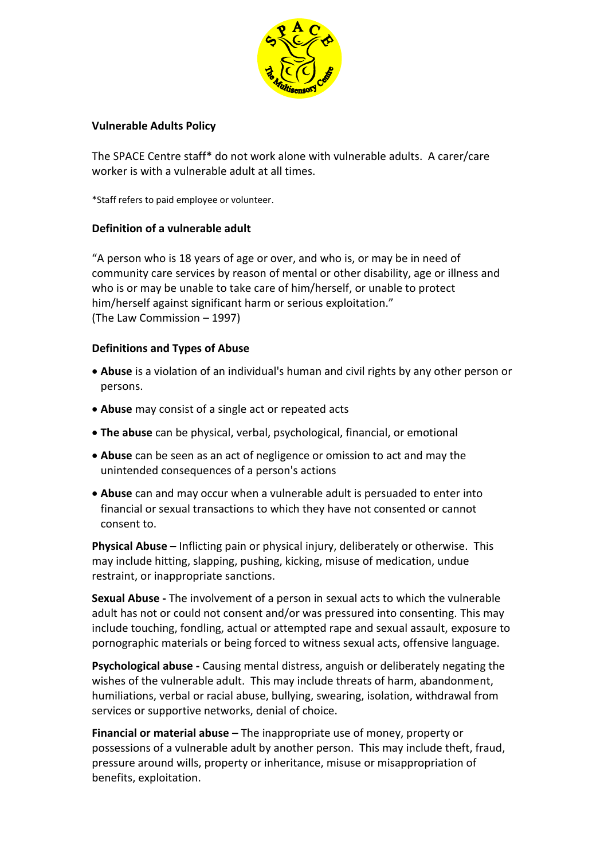

## **Vulnerable Adults Policy**

The SPACE Centre staff\* do not work alone with vulnerable adults. A carer/care worker is with a vulnerable adult at all times.

\*Staff refers to paid employee or volunteer.

# **Definition of a vulnerable adult**

"A person who is 18 years of age or over, and who is, or may be in need of community care services by reason of mental or other disability, age or illness and who is or may be unable to take care of him/herself, or unable to protect him/herself against significant harm or serious exploitation." (The Law Commission – 1997)

# **Definitions and Types of Abuse**

- **Abuse** is a violation of an individual's human and civil rights by any other person or persons.
- **Abuse** may consist of a single act or repeated acts
- **The abuse** can be physical, verbal, psychological, financial, or emotional
- **Abuse** can be seen as an act of negligence or omission to act and may the unintended consequences of a person's actions
- **Abuse** can and may occur when a vulnerable adult is persuaded to enter into financial or sexual transactions to which they have not consented or cannot consent to.

**Physical Abuse –** Inflicting pain or physical injury, deliberately or otherwise. This may include hitting, slapping, pushing, kicking, misuse of medication, undue restraint, or inappropriate sanctions.

**Sexual Abuse -** The involvement of a person in sexual acts to which the vulnerable adult has not or could not consent and/or was pressured into consenting. This may include touching, fondling, actual or attempted rape and sexual assault, exposure to pornographic materials or being forced to witness sexual acts, offensive language.

**Psychological abuse -** Causing mental distress, anguish or deliberately negating the wishes of the vulnerable adult. This may include threats of harm, abandonment, humiliations, verbal or racial abuse, bullying, swearing, isolation, withdrawal from services or supportive networks, denial of choice.

**Financial or material abuse –** The inappropriate use of money, property or possessions of a vulnerable adult by another person. This may include theft, fraud, pressure around wills, property or inheritance, misuse or misappropriation of benefits, exploitation.